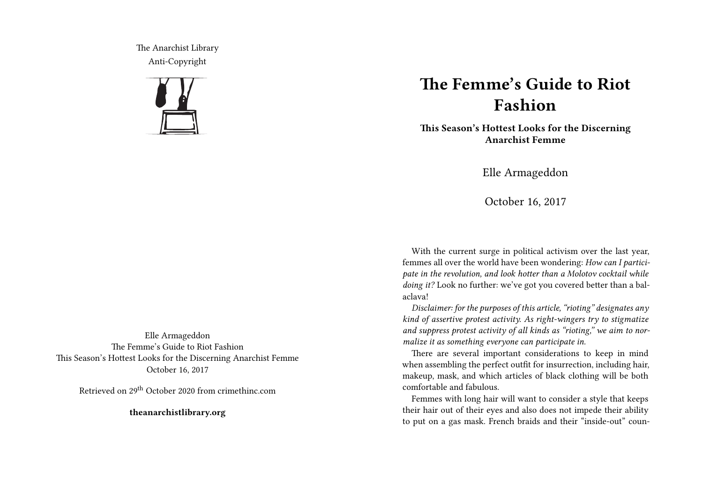The Anarchist Library Anti-Copyright



## **The Femme's Guide to Riot Fashion**

**This Season's Hottest Looks for the Discerning Anarchist Femme**

Elle Armageddon

October 16, 2017

With the current surge in political activism over the last year, femmes all over the world have been wondering: *How can I participate in the revolution, and look hotter than a Molotov cocktail while doing it?* Look no further: we've got you covered better than a balaclava!

*Disclaimer: for the purposes of this article, "rioting" designates any kind of assertive protest activity. As right-wingers try to stigmatize and suppress protest activity of all kinds as "rioting," we aim to normalize it as something everyone can participate in.*

There are several important considerations to keep in mind when assembling the perfect outfit for insurrection, including hair, makeup, mask, and which articles of black clothing will be both comfortable and fabulous.

Femmes with long hair will want to consider a style that keeps their hair out of their eyes and also does not impede their ability to put on a gas mask. French braids and their "inside-out" coun-

Elle Armageddon The Femme's Guide to Riot Fashion This Season's Hottest Looks for the Discerning Anarchist Femme October 16, 2017

Retrieved on 29th October 2020 from crimethinc.com

**theanarchistlibrary.org**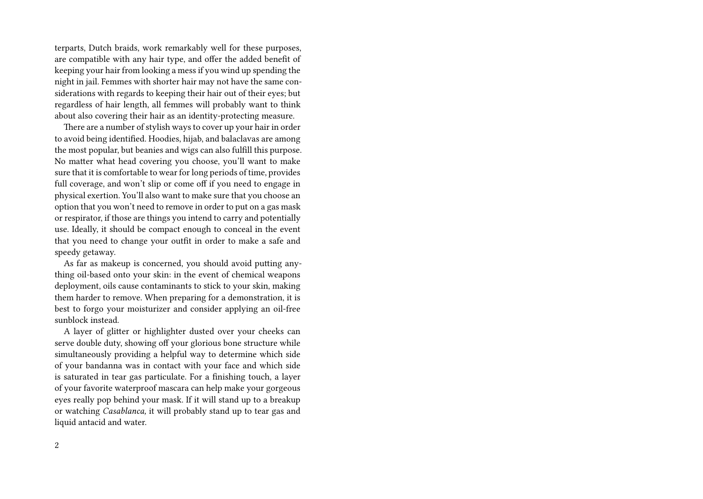terparts, Dutch braids, work remarkably well for these purposes, are compatible with any hair type, and offer the added benefit of keeping your hair from looking a mess if you wind up spending the night in jail. Femmes with shorter hair may not have the same considerations with regards to keeping their hair out of their eyes; but regardless of hair length, all femmes will probably want to think about also covering their hair as an identity-protecting measure.

There are a number of stylish ways to cover up your hair in order to avoid being identified. Hoodies, hijab, and balaclavas are among the most popular, but beanies and wigs can also fulfill this purpose. No matter what head covering you choose, you'll want to make sure that it is comfortable to wear for long periods of time, provides full coverage, and won't slip or come off if you need to engage in physical exertion. You'll also want to make sure that you choose an option that you won't need to remove in order to put on a gas mask or respirator, if those are things you intend to carry and potentially use. Ideally, it should be compact enough to conceal in the event that you need to change your outfit in order to make a safe and speedy getaway.

As far as makeup is concerned, you should avoid putting anything oil-based onto your skin: in the event of chemical weapons deployment, oils cause contaminants to stick to your skin, making them harder to remove. When preparing for a demonstration, it is best to forgo your moisturizer and consider applying an oil-free sunblock instead.

A layer of glitter or highlighter dusted over your cheeks can serve double duty, showing off your glorious bone structure while simultaneously providing a helpful way to determine which side of your bandanna was in contact with your face and which side is saturated in tear gas particulate. For a finishing touch, a layer of your favorite waterproof mascara can help make your gorgeous eyes really pop behind your mask. If it will stand up to a breakup or watching *Casablanca,* it will probably stand up to tear gas and liquid antacid and water.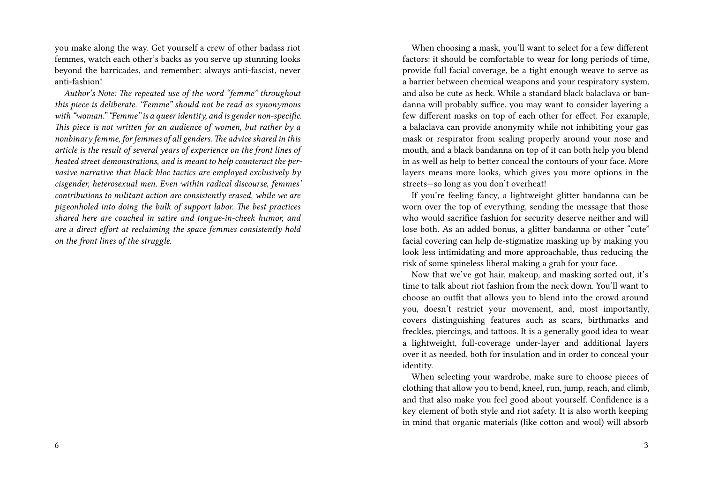you make along the way. Get yourself a crew of other badass riot femmes, watch each other's backs as you serve up stunning looks beyond the barricades, and remember: always anti-fascist, never anti-fashion!

*Author's Note: The repeated use of the word "femme" throughout this piece is deliberate. "Femme" should not be read as synonymous with "woman." "Femme" is a queer identity, and is gender non-specific. This piece is not written for an audience of women, but rather by a nonbinary femme, for femmes of all genders. The advice shared in this article is the result of several years of experience on the front lines of heated street demonstrations, and is meant to help counteract the pervasive narrative that black bloc tactics are employed exclusively by cisgender, heterosexual men. Even within radical discourse, femmes' contributions to militant action are consistently erased, while we are pigeonholed into doing the bulk of support labor. The best practices shared here are couched in satire and tongue-in-cheek humor, and are a direct effort at reclaiming the space femmes consistently hold on the front lines of the struggle.*

When choosing a mask, you'll want to select for a few different factors: it should be comfortable to wear for long periods of time, provide full facial coverage, be a tight enough weave to serve as a barrier between chemical weapons and your respiratory system, and also be cute as heck. While a standard black balaclava or bandanna will probably suffice, you may want to consider layering a few different masks on top of each other for effect. For example, a balaclava can provide anonymity while not inhibiting your gas mask or respirator from sealing properly around your nose and mouth, and a black bandanna on top of it can both help you blend in as well as help to better conceal the contours of your face. More layers means more looks, which gives you more options in the streets—so long as you don't overheat!

If you're feeling fancy, a lightweight glitter bandanna can be worn over the top of everything, sending the message that those who would sacrifice fashion for security deserve neither and will lose both. As an added bonus, a glitter bandanna or other "cute" facial covering can help de-stigmatize masking up by making you look less intimidating and more approachable, thus reducing the risk of some spineless liberal making a grab for your face.

Now that we've got hair, makeup, and masking sorted out, it's time to talk about riot fashion from the neck down. You'll want to choose an outfit that allows you to blend into the crowd around you, doesn't restrict your movement, and, most importantly, covers distinguishing features such as scars, birthmarks and freckles, piercings, and tattoos. It is a generally good idea to wear a lightweight, full-coverage under-layer and additional layers over it as needed, both for insulation and in order to conceal your identity.

When selecting your wardrobe, make sure to choose pieces of clothing that allow you to bend, kneel, run, jump, reach, and climb, and that also make you feel good about yourself. Confidence is a key element of both style and riot safety. It is also worth keeping in mind that organic materials (like cotton and wool) will absorb